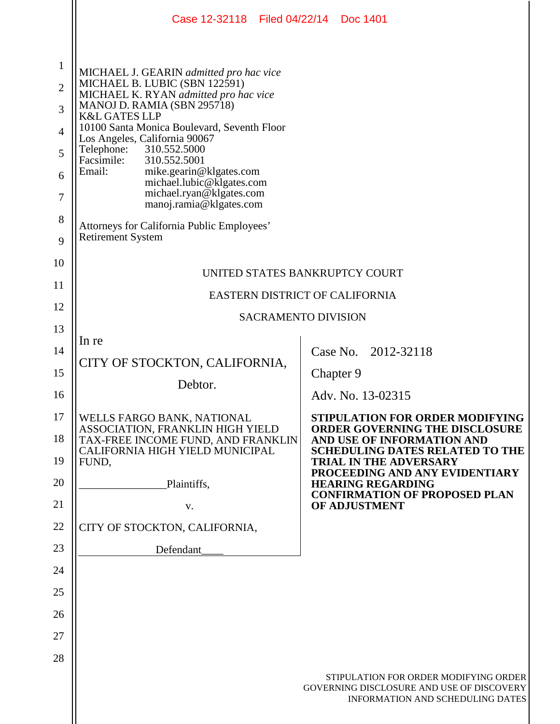|                                                                   | Case 12-32118   Filed 04/22/14   Doc 1401                                                                                                                                                                                                                                                                                                                                                                                                                                                                                   |                                                                                                                        |
|-------------------------------------------------------------------|-----------------------------------------------------------------------------------------------------------------------------------------------------------------------------------------------------------------------------------------------------------------------------------------------------------------------------------------------------------------------------------------------------------------------------------------------------------------------------------------------------------------------------|------------------------------------------------------------------------------------------------------------------------|
| $\mathbf{1}$<br>$\overline{2}$<br>3<br>4<br>5<br>6<br>7<br>8<br>9 | MICHAEL J. GEARIN admitted pro hac vice<br>MICHAEL B. LUBIC (SBN 122591)<br>MICHAEL K. RYAN admitted pro hac vice<br>MANOJ D. RAMIA (SBN 295718)<br><b>K&amp;L GATES LLP</b><br>10100 Santa Monica Boulevard, Seventh Floor<br>Los Angeles, California 90067<br>Telephone:<br>310.552.5000<br>Facsimile:<br>310.552.5001<br>Email:<br>mike.gearin@klgates.com<br>michael.lubic@klgates.com<br>michael.ryan@klgates.com<br>manoj.ramia@klgates.com<br>Attorneys for California Public Employees'<br><b>Retirement System</b> |                                                                                                                        |
| 10                                                                | UNITED STATES BANKRUPTCY COURT                                                                                                                                                                                                                                                                                                                                                                                                                                                                                              |                                                                                                                        |
| 11                                                                | EASTERN DISTRICT OF CALIFORNIA                                                                                                                                                                                                                                                                                                                                                                                                                                                                                              |                                                                                                                        |
| 12                                                                | <b>SACRAMENTO DIVISION</b>                                                                                                                                                                                                                                                                                                                                                                                                                                                                                                  |                                                                                                                        |
| 13                                                                |                                                                                                                                                                                                                                                                                                                                                                                                                                                                                                                             |                                                                                                                        |
| 14                                                                | In re                                                                                                                                                                                                                                                                                                                                                                                                                                                                                                                       | Case No. 2012-32118                                                                                                    |
| 15                                                                | CITY OF STOCKTON, CALIFORNIA,                                                                                                                                                                                                                                                                                                                                                                                                                                                                                               | Chapter 9                                                                                                              |
| 16                                                                | Debtor.                                                                                                                                                                                                                                                                                                                                                                                                                                                                                                                     | Adv. No. 13-02315                                                                                                      |
| 17                                                                | WELLS FARGO BANK, NATIONAL                                                                                                                                                                                                                                                                                                                                                                                                                                                                                                  | <b>STIPULATION FOR ORDER MODIFYING</b>                                                                                 |
| 18                                                                | ASSOCIATION, FRANKLIN HIGH YIELD<br>TAX-FREE INCOME FUND, AND FRANKLIN<br>CALIFORNIA HIGH YIELD MUNICIPAL                                                                                                                                                                                                                                                                                                                                                                                                                   | <b>ORDER GOVERNING THE DISCLOSURE</b><br>AND USE OF INFORMATION AND<br><b>SCHEDULING DATES RELATED TO THE</b>          |
| 19                                                                | FUND,                                                                                                                                                                                                                                                                                                                                                                                                                                                                                                                       | <b>TRIAL IN THE ADVERSARY</b><br>PROCEEDING AND ANY EVIDENTIARY                                                        |
| 20                                                                | Plaintiffs,                                                                                                                                                                                                                                                                                                                                                                                                                                                                                                                 | <b>HEARING REGARDING</b>                                                                                               |
| 21                                                                | V.                                                                                                                                                                                                                                                                                                                                                                                                                                                                                                                          | <b>CONFIRMATION OF PROPOSED PLAN</b><br>OF ADJUSTMENT                                                                  |
| 22                                                                | CITY OF STOCKTON, CALIFORNIA,                                                                                                                                                                                                                                                                                                                                                                                                                                                                                               |                                                                                                                        |
| 23                                                                | Defendant                                                                                                                                                                                                                                                                                                                                                                                                                                                                                                                   |                                                                                                                        |
| 24                                                                |                                                                                                                                                                                                                                                                                                                                                                                                                                                                                                                             |                                                                                                                        |
| 25                                                                |                                                                                                                                                                                                                                                                                                                                                                                                                                                                                                                             |                                                                                                                        |
| 26                                                                |                                                                                                                                                                                                                                                                                                                                                                                                                                                                                                                             |                                                                                                                        |
| 27                                                                |                                                                                                                                                                                                                                                                                                                                                                                                                                                                                                                             |                                                                                                                        |
| 28                                                                |                                                                                                                                                                                                                                                                                                                                                                                                                                                                                                                             |                                                                                                                        |
|                                                                   |                                                                                                                                                                                                                                                                                                                                                                                                                                                                                                                             | STIPULATION FOR ORDER MODIFYING ORDER<br>GOVERNING DISCLOSURE AND USE OF DISCOVERY<br>INFORMATION AND SCHEDULING DATES |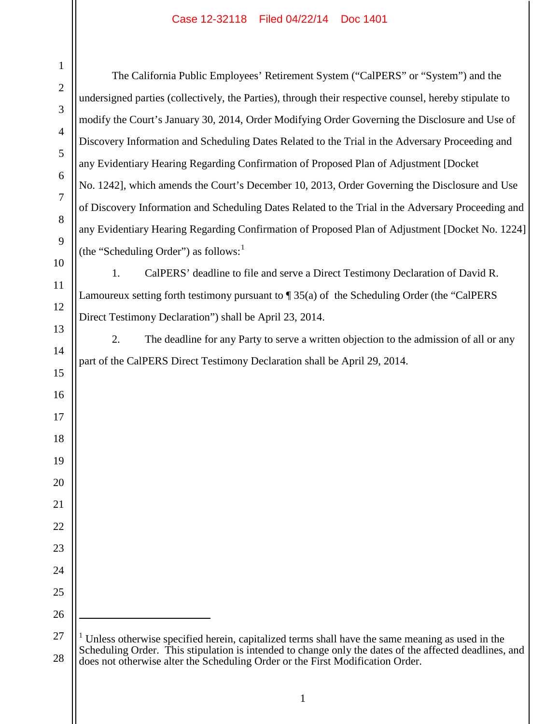## Case 12-32118 Filed 04/22/14 Doc 1401

The California Public Employees' Retirement System ("CalPERS" or "System") and the undersigned parties (collectively, the Parties), through their respective counsel, hereby stipulate to modify the Court's January 30, 2014, Order Modifying Order Governing the Disclosure and Use of Discovery Information and Scheduling Dates Related to the Trial in the Adversary Proceeding and any Evidentiary Hearing Regarding Confirmation of Proposed Plan of Adjustment [Docket No. 1242], which amends the Court's December 10, 2013, Order Governing the Disclosure and Use of Discovery Information and Scheduling Dates Related to the Trial in the Adversary Proceeding and any Evidentiary Hearing Regarding Confirmation of Proposed Plan of Adjustment [Docket No. 1224] (the "Scheduling Order") as follows: $<sup>1</sup>$ </sup> 1. CalPERS' deadline to file and serve a Direct Testimony Declaration of David R. Lamoureux setting forth testimony pursuant to ¶ 35(a) of the Scheduling Order (the "CalPERS Direct Testimony Declaration") shall be April 23, 2014. 2. The deadline for any Party to serve a written objection to the admission of all or any part of the CalPERS Direct Testimony Declaration shall be April 29, 2014.  $\overline{a}$  Unless otherwise specified herein, capitalized terms shall have the same meaning as used in the Scheduling Order. This stipulation is intended to change only the dates of the affected deadlines, and does not otherwise alter the Scheduling Order or the First Modification Order.